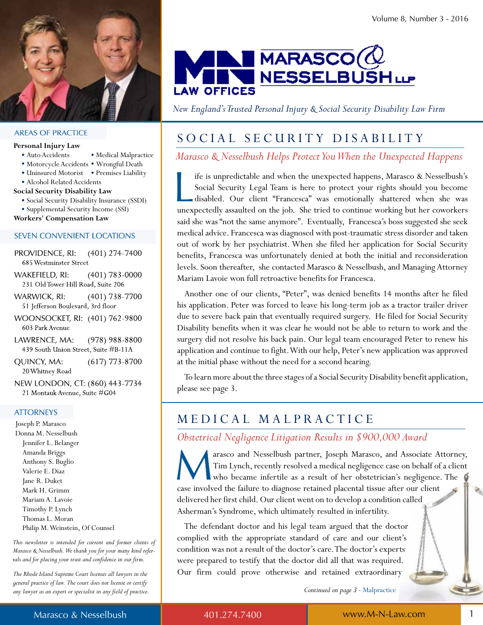

#### **AREAS OF PRACTICE**

#### **Personal Injury Law**

- Auto Accidents Medical Malpractice
- Motorcycle Accidents Wrongful Death
- Uninsured Motorist Premises Liability
- Alcohol Related Accidents
- **Social Security Disability Law**
	- Social Security Disability Insurance (SSDI) • Supplemental Security Income (SSI)

**Workers' Compensation Law**

#### **SEVEN CONVENIENT LOCATIONS**

- PROVIDENCE, RI:  $(401)$  274-7400 685 Westminster Street
- WAKEFIELD, RI:  $(401)$  783-0000 231 Old Tower Hill Road, Suite 206
- WARWICK, RI:  $(401)$  738-7700 51 Jefferson Boulevard, 3rd floor
- WOONSOCKET, RI: (401) 762-9800 603 Park Avenue
- LAWRENCE, MA:  $(978)$  988-8800 439 South Union Street, Suite #B-11A
- QUINCY, MA:  $(617)$  773-8700 20 Whitney Road
- NEW LONDON, CT: (860) 443-7734 21 Montauk Avenue, Suite #G04

#### **ATTORNEYS**

Joseph P. Marasco Donna M. Nesselbush Jennifer L. belanger Amanda briggs Anthony S. buglio Valerie E. Diaz Jane R. Duket Mark H. Grimm Mariam A. Lavoie Timothy P. Lynch Thomas L. Moran Philip M. Weinstein, of counsel

*This newsletter is intended for current and former clients of Marasco & Nesselbush. We thank you for your many kind referrals and for placing your trust and confidence in our firm.* 

*The Rhode Island Supreme Court licenses all lawyers in the general practice of law. The court does not license or certify any lawyer as an expert or specialist in any field of practice.*



*New England's Trusted Personal Injury & Social Security Disability Law Firm*

### SOCIAL SECURITY DISABILITY

*Marasco & Nesselbush Helps Protect You When the Unexpected Happens*

l ife is unpredictable and when the unexpected happens, Marasco & Nesselbush's Social Security Legal Team is here to protect your rights should you become disabled. our client "Francesca" was emotionally shattered when she was unexpectedly assaulted on the job. She tried to continue working but her coworkers said she was "not the same anymore". Eventually, Francesca's boss suggested she seek medical advice. Francesca was diagnosed with post-traumatic stress disorder and taken out of work by her psychiatrist. When she filed her application for Social Security benefits, Francesca was unfortunately denied at both the initial and reconsideration levels. Soon thereafter, she contacted Marasco & Nesselbush, and Managing Attorney Mariam Lavoie won full retroactive benefits for Francesca.

 Another one of our clients, "Peter", was denied benefits 14 months after he filed his application. Peter was forced to leave his long-term job as a tractor trailer driver due to severe back pain that eventually required surgery. He filed for Social Security Disability benefits when it was clear he would not be able to return to work and the surgery did not resolve his back pain. Our legal team encouraged Peter to renew his application and continue to fight. With our help, Peter's new application was approved at the initial phase without the need for a second hearing.

 to learn more about the three stages of a Social Security Disability benefit application, please see page 3.

### MeDIcAL MALPRActIce

*Obstetrical Negligence Litigation Results in \$900,000 Award*

M arasco and Nesselbush partner, Joseph Marasco, and Associate Attorney, Tim Lynch, recently resolved a medical negligence case on behalf of a client who became infertile as a result of her obstetrician's negligence. The case involved the failure to diagnose retained placental tissue after our client delivered her first child. Our client went on to develop a condition called Asherman's Syndrome, which ultimately resulted in infertility.

The defendant doctor and his legal team argued that the doctor complied with the appropriate standard of care and our client's condition was not a result of the doctor's care. The doctor's experts were prepared to testify that the doctor did all that was required. Our firm could prove otherwise and retained extraordinary

*Continued on page 3* - Malpractice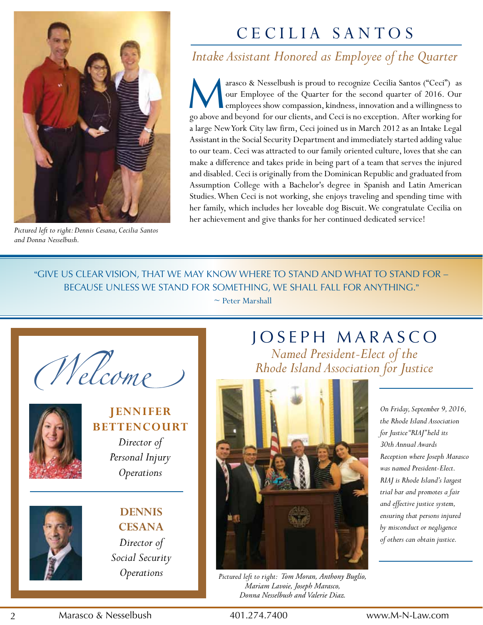

*Pictured left to right: Dennis Cesana, Cecilia Santos and Donna Nesselbush.*

# cecILIA SANtoS

## *Intake Assistant Honored as Employee of the Quarter*

M arasco & Nesselbush is proud to recognize Cecilia Santos ("Ceci") as our Employee of the Quarter for the second quarter of 2016. Our employees show compassion, kindness, innovation and a willingness to go above and beyond for our clients, and ceci is no exception. After working for a large New york city law firm, ceci joined us in March 2012 as an Intake Legal Assistant in the Social Security Department and immediately started adding value to our team. ceci was attracted to our family oriented culture, loves that she can make a difference and takes pride in being part of a team that serves the injured and disabled. ceci is originally from the Dominican Republic and graduated from Assumption college with a bachelor's degree in Spanish and Latin American Studies. When Ceci is not working, she enjoys traveling and spending time with her family, which includes her loveable dog Biscuit. We congratulate Cecilia on her achievement and give thanks for her continued dedicated service!

"GIVE US CLEAR VISION, THAT WE MAY KNOW WHERE TO STAND AND WHAT TO STAND FOR because uNless we staNd for soMethiNG, we shall fall for aNythiNG."

 $\sim$  Peter Marshall

Nelcome



### **JennIfer BETTENCOURT**

*Director of Personal Injury Operations*



**DennIS CeSana** *Director of Social Security Operations*

## JOSEPH MARASCO *Named President-Elect of the Rhode Island Association for Justice*



*Pictured left to right: Tom Moran, Anthony Buglio, Mariam Lavoie, Joseph Marasco, Donna Nesselbush and Valerie Diaz.*

*On Friday, September 9, 2016, the Rhode Island Association for Justice "RIAJ" held its 30th Annual Awards Reception where Joseph Marasco was named President-Elect. RIAJ is Rhode Island's largest trial bar and promotes a fair and effective justice system, ensuring that persons injured by misconduct or negligence of others can obtain justice.*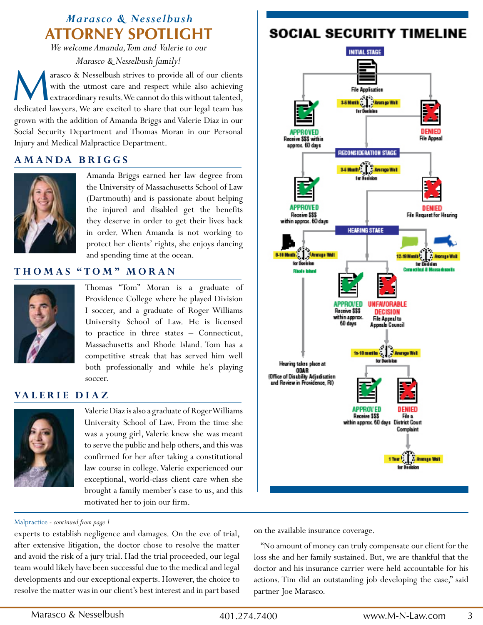## **Attorney Spotlight** *Marasco & Nesselbush*

*We welcome Amanda, Tom and Valerie to our Marasco & Nesselbush family!*

M arasco & Nesselbush strives to provide all of our clients with the utmost care and respect while also achieving extraordinary results. We cannot do this without talented, dedicated lawyers. We are excited to share that our legal team has grown with the addition of Amanda briggs and Valerie Diaz in our Social Security Department and Thomas Moran in our Personal Injury and Medical Malpractice Department.

#### **amanDa BrIggS**



Amanda briggs earned her law degree from the University of Massachusetts School of Law (Dartmouth) and is passionate about helping the injured and disabled get the benefits they deserve in order to get their lives back in order. When Amanda is not working to protect her clients' rights, she enjoys dancing and spending time at the ocean.

### **thomaS " tom " moran**



Thomas "Tom" Moran is a graduate of Providence college where he played Division I soccer, and a graduate of Roger Williams University School of Law. He is licensed to practice in three states – connecticut, Massachusetts and Rhode Island. Tom has a competitive streak that has served him well both professionally and while he's playing soccer.

#### **va L e r I e D I a z**



Valerie Diaz is also a graduate of Roger Williams University School of Law. From the time she was a young girl, Valerie knew she was meant to serve the public and help others, and this was confirmed for her after taking a constitutional law course in college. Valerie experienced our exceptional, world-class client care when she brought a family member's case to us, and this motivated her to join our firm.

#### Malpractice *- continued from page 1*

experts to establish negligence and damages. On the eve of trial, after extensive litigation, the doctor chose to resolve the matter and avoid the risk of a jury trial. Had the trial proceeded, our legal team would likely have been successful due to the medical and legal developments and our exceptional experts. However, the choice to resolve the matter was in our client's best interest and in part based

### **SOCIAL SECURITY TIMELINE**



on the available insurance coverage.

 "No amount of money can truly compensate our client for the loss she and her family sustained. but, we are thankful that the doctor and his insurance carrier were held accountable for his actions. Tim did an outstanding job developing the case," said partner Joe Marasco.